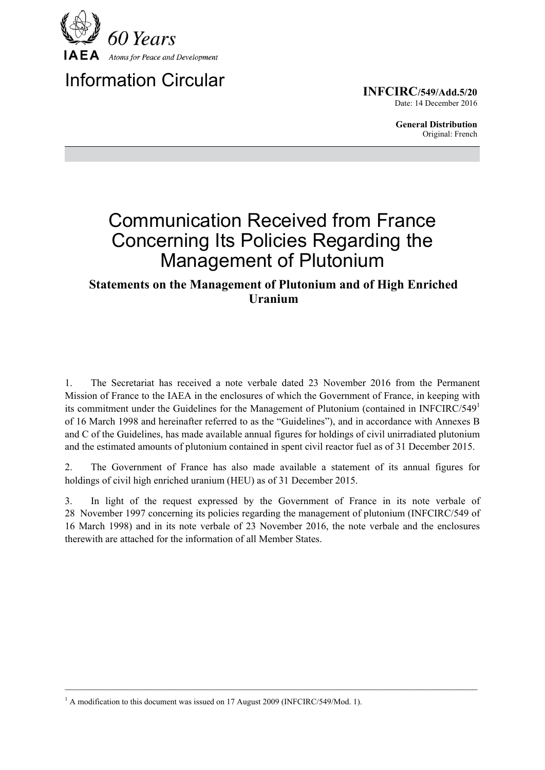

# Information Circular

**INFCIRC/549/Add.5/20** Date: 14 December 2016

> **General Distribution** Original: French

# Communication Received from France Concerning Its Policies Regarding the Management of Plutonium

## **Statements on the Management of Plutonium and of High Enriched Uranium**

1. The Secretariat has received a note verbale dated 23 November 2016 from the Permanent Mission of France to the IAEA in the enclosures of which the Government of France, in keeping with its commitment under the Guidelines for the Management of Plutonium (contained in INFCIRC/549 $^1$ of 16 March 1998 and hereinafter referred to as the "Guidelines"), and in accordance with Annexes B and C of the Guidelines, has made available annual figures for holdings of civil unirradiated plutonium and the estimated amounts of plutonium contained in spent civil reactor fuel as of 31 December 2015.

2. The Government of France has also made available a statement of its annual figures for holdings of civil high enriched uranium (HEU) as of 31 December 2015.

3. In light of the request expressed by the Government of France in its note verbale of 28 November 1997 concerning its policies regarding the management of plutonium (INFCIRC/549 of 16 March 1998) and in its note verbale of 23 November 2016, the note verbale and the enclosures therewith are attached for the information of all Member States.

 $\mathcal{L}_\mathcal{L} = \{ \mathcal{L}_\mathcal{L} = \{ \mathcal{L}_\mathcal{L} = \{ \mathcal{L}_\mathcal{L} = \{ \mathcal{L}_\mathcal{L} = \{ \mathcal{L}_\mathcal{L} = \{ \mathcal{L}_\mathcal{L} = \{ \mathcal{L}_\mathcal{L} = \{ \mathcal{L}_\mathcal{L} = \{ \mathcal{L}_\mathcal{L} = \{ \mathcal{L}_\mathcal{L} = \{ \mathcal{L}_\mathcal{L} = \{ \mathcal{L}_\mathcal{L} = \{ \mathcal{L}_\mathcal{L} = \{ \mathcal{L}_\mathcal{$ 

<sup>&</sup>lt;sup>1</sup> A modification to this document was issued on 17 August 2009 (INFCIRC/549/Mod. 1).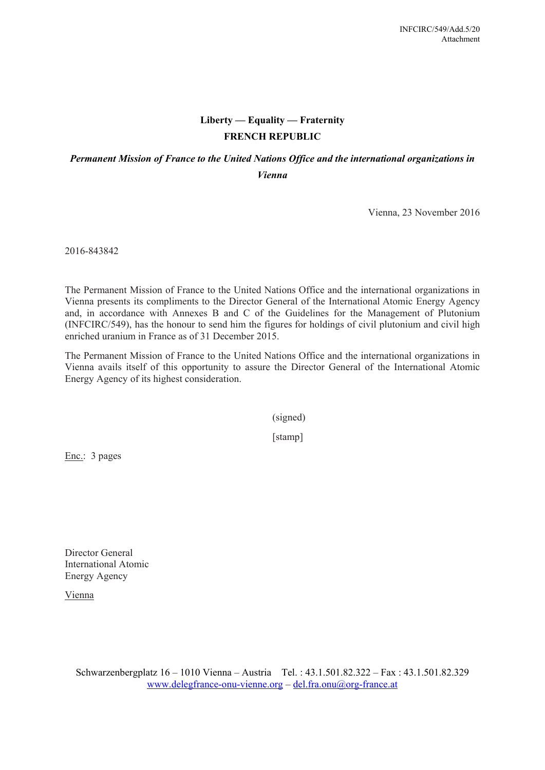## **Liberty — Equality — Fraternity FRENCH REPUBLIC**

### *Permanent Mission of France to the United Nations Office and the international organizations in Vienna*

Vienna, 23 November 2016

2016-843842

The Permanent Mission of France to the United Nations Office and the international organizations in Vienna presents its compliments to the Director General of the International Atomic Energy Agency and, in accordance with Annexes B and C of the Guidelines for the Management of Plutonium (INFCIRC/549), has the honour to send him the figures for holdings of civil plutonium and civil high enriched uranium in France as of 31 December 2015.

The Permanent Mission of France to the United Nations Office and the international organizations in Vienna avails itself of this opportunity to assure the Director General of the International Atomic Energy Agency of its highest consideration.

(signed)

[stamp]

Enc.: 3 pages

Director General International Atomic Energy Agency

Vienna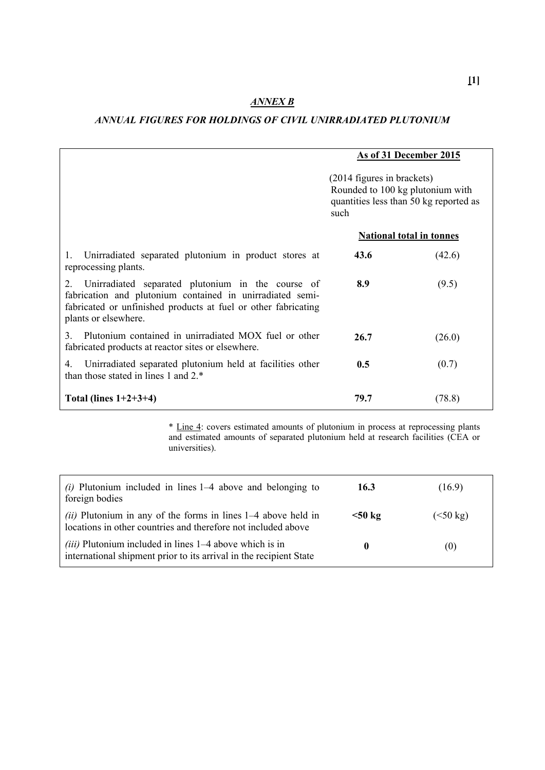## *ANNEX B*

#### *ANNUAL FIGURES FOR HOLDINGS OF CIVIL UNIRRADIATED PLUTONIUM*

|                                                                                                                                                                                                                | As of 31 December 2015<br>(2014 figures in brackets)<br>Rounded to 100 kg plutonium with<br>quantities less than 50 kg reported as<br>such |        |
|----------------------------------------------------------------------------------------------------------------------------------------------------------------------------------------------------------------|--------------------------------------------------------------------------------------------------------------------------------------------|--------|
|                                                                                                                                                                                                                |                                                                                                                                            |        |
|                                                                                                                                                                                                                | <b>National total in tonnes</b>                                                                                                            |        |
| Unirradiated separated plutonium in product stores at<br>1.<br>reprocessing plants.                                                                                                                            | 43.6                                                                                                                                       | (42.6) |
| Unirradiated separated plutonium in the course of<br>2.<br>fabrication and plutonium contained in unirradiated semi-<br>fabricated or unfinished products at fuel or other fabricating<br>plants or elsewhere. | 8.9                                                                                                                                        | (9.5)  |
| Plutonium contained in unirradiated MOX fuel or other<br>3<br>fabricated products at reactor sites or elsewhere.                                                                                               | 26.7                                                                                                                                       | (26.0) |
| Unirradiated separated plutonium held at facilities other<br>4.<br>than those stated in lines 1 and 2.*                                                                                                        | 0.5                                                                                                                                        | (0.7)  |
| Total (lines $1+2+3+4$ )                                                                                                                                                                                       | 79.7                                                                                                                                       | (78.8) |

\* Line 4: covers estimated amounts of plutonium in process at reprocessing plants and estimated amounts of separated plutonium held at research facilities (CEA or universities).

| $(i)$ Plutonium included in lines 1–4 above and belonging to<br>foreign bodies                                                    | 16.3         | (16.9)    |
|-----------------------------------------------------------------------------------------------------------------------------------|--------------|-----------|
| (ii) Plutonium in any of the forms in lines $1-4$ above held in<br>locations in other countries and therefore not included above  | $<$ 50 kg    | (< 50 kg) |
| $(iii)$ Plutonium included in lines $1-4$ above which is in<br>international shipment prior to its arrival in the recipient State | $\mathbf{0}$ | (0)       |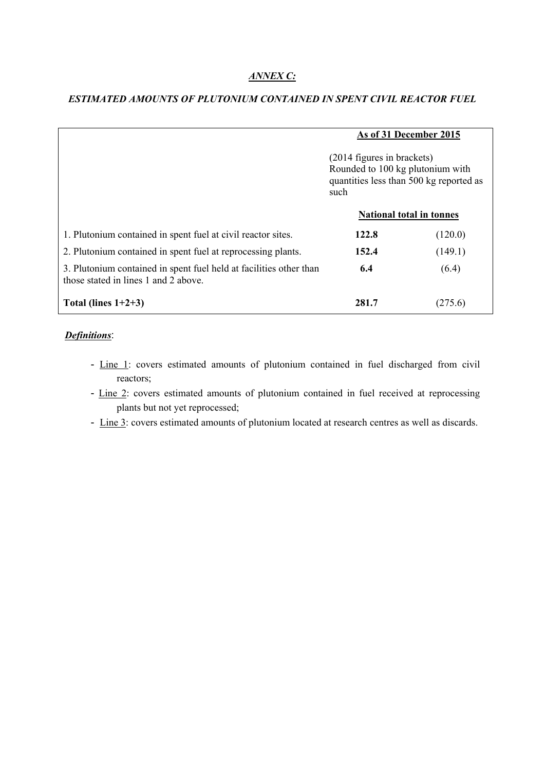#### *ANNEX C:*

|                                                                                                            | As of 31 December 2015<br>(2014 figures in brackets)<br>Rounded to 100 kg plutonium with<br>quantities less than 500 kg reported as<br>such<br><b>National total in tonnes</b> |         |
|------------------------------------------------------------------------------------------------------------|--------------------------------------------------------------------------------------------------------------------------------------------------------------------------------|---------|
|                                                                                                            |                                                                                                                                                                                |         |
|                                                                                                            |                                                                                                                                                                                |         |
| 1. Plutonium contained in spent fuel at civil reactor sites.                                               | 122.8                                                                                                                                                                          | (120.0) |
| 2. Plutonium contained in spent fuel at reprocessing plants.                                               | 152.4                                                                                                                                                                          | (149.1) |
| 3. Plutonium contained in spent fuel held at facilities other than<br>those stated in lines 1 and 2 above. | 6.4                                                                                                                                                                            | (6.4)   |
| Total (lines $1+2+3$ )                                                                                     | 281.7                                                                                                                                                                          | (275.6) |

#### *ESTIMATED AMOUNTS OF PLUTONIUM CONTAINED IN SPENT CIVIL REACTOR FUEL*

#### *Definitions*:

- Line 1: covers estimated amounts of plutonium contained in fuel discharged from civil reactors;
- Line 2: covers estimated amounts of plutonium contained in fuel received at reprocessing plants but not yet reprocessed;
- Line 3: covers estimated amounts of plutonium located at research centres as well as discards.